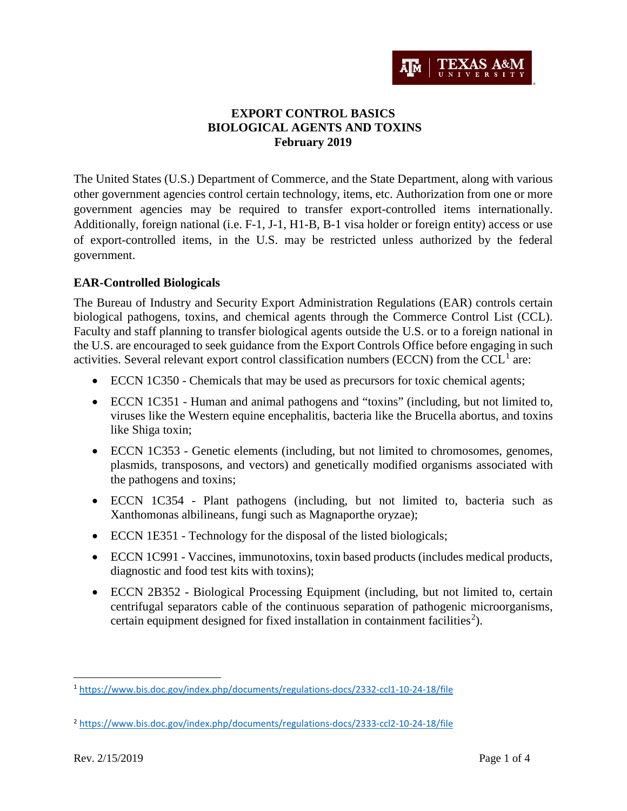

# **EXPORT CONTROL BASICS BIOLOGICAL AGENTS AND TOXINS February 2019**

The United States (U.S.) Department of Commerce, and the State Department, along with various other government agencies control certain technology, items, etc. Authorization from one or more government agencies may be required to transfer export-controlled items internationally. Additionally, foreign national (i.e. F-1, J-1, H1-B, B-1 visa holder or foreign entity) access or use of export-controlled items, in the U.S. may be restricted unless authorized by the federal government.

#### **EAR-Controlled Biologicals**

The Bureau of Industry and Security Export Administration Regulations (EAR) controls certain biological pathogens, toxins, and chemical agents through the Commerce Control List (CCL). Faculty and staff planning to transfer biological agents outside the U.S. or to a foreign national in the U.S. are encouraged to seek guidance from the Export Controls Office before engaging in such activities. Several relevant export control classification numbers (ECCN) from the CCL<sup>[1](#page-0-0)</sup> are:

- ECCN 1C350 Chemicals that may be used as precursors for toxic chemical agents;
- ECCN 1C351 Human and animal pathogens and "toxins" (including, but not limited to, viruses like the Western equine encephalitis, bacteria like the Brucella abortus, and toxins like Shiga toxin;
- ECCN 1C353 Genetic elements (including, but not limited to chromosomes, genomes, plasmids, transposons, and vectors) and genetically modified organisms associated with the pathogens and toxins;
- ECCN 1C354 Plant pathogens (including, but not limited to, bacteria such as Xanthomonas albilineans, fungi such as Magnaporthe oryzae);
- ECCN 1E351 Technology for the disposal of the listed biologicals;
- ECCN 1C991 Vaccines, immunotoxins, toxin based products (includes medical products, diagnostic and food test kits with toxins);
- ECCN 2B352 Biological Processing Equipment (including, but not limited to, certain centrifugal separators cable of the continuous separation of pathogenic microorganisms, certain equipment designed for fixed installation in containment facilities<sup>[2](#page-0-1)</sup>).

<span id="page-0-0"></span> <sup>1</sup> <https://www.bis.doc.gov/index.php/documents/regulations-docs/2332-ccl1-10-24-18/file>

<span id="page-0-1"></span><sup>2</sup> <https://www.bis.doc.gov/index.php/documents/regulations-docs/2333-ccl2-10-24-18/file>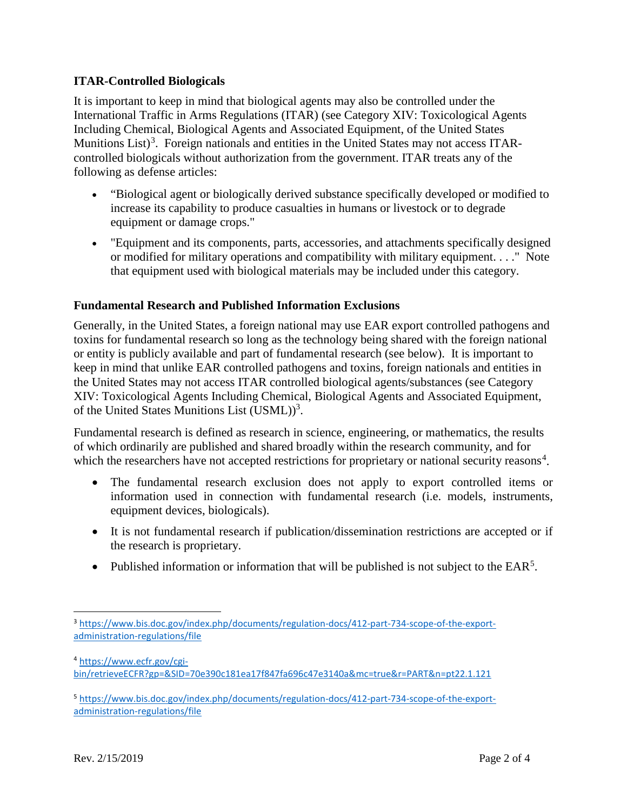### **ITAR-Controlled Biologicals**

It is important to keep in mind that biological agents may also be controlled under the International Traffic in Arms Regulations (ITAR) (see Category XIV: Toxicological Agents Including Chemical, Biological Agents and Associated Equipment, of the United States Munitions List)<sup>[3](#page-1-0)</sup>. Foreign nationals and entities in the United States may not access ITARcontrolled biologicals without authorization from the government. ITAR treats any of the following as defense articles:

- "Biological agent or biologically derived substance specifically developed or modified to increase its capability to produce casualties in humans or livestock or to degrade equipment or damage crops."
- "Equipment and its components, parts, accessories, and attachments specifically designed or modified for military operations and compatibility with military equipment. . . ." Note that equipment used with biological materials may be included under this category.

### **Fundamental Research and Published Information Exclusions**

Generally, in the United States, a foreign national may use EAR export controlled pathogens and toxins for fundamental research so long as the technology being shared with the foreign national or entity is publicly available and part of fundamental research (see below). It is important to keep in mind that unlike EAR controlled pathogens and toxins, foreign nationals and entities in the United States may not access ITAR controlled biological agents/substances (see Category XIV: Toxicological Agents Including Chemical, Biological Agents and Associated Equipment, of the United States Munitions List (USML))<sup>3</sup>.

Fundamental research is defined as research in science, engineering, or mathematics, the results of which ordinarily are published and shared broadly within the research community, and for which the researchers have not accepted restrictions for proprietary or national security reasons<sup>[4](#page-1-1)</sup>.

- The fundamental research exclusion does not apply to export controlled items or information used in connection with fundamental research (i.e. models, instruments, equipment devices, biologicals).
- It is not fundamental research if publication/dissemination restrictions are accepted or if the research is proprietary.
- Published information or information that will be published is not subject to the  $EAR<sup>5</sup>$  $EAR<sup>5</sup>$  $EAR<sup>5</sup>$ .

<span id="page-1-1"></span><sup>4</sup> [https://www.ecfr.gov/cgi](https://www.ecfr.gov/cgi-bin/retrieveECFR?gp=&SID=70e390c181ea17f847fa696c47e3140a&mc=true&r=PART&n=pt22.1.121)[bin/retrieveECFR?gp=&SID=70e390c181ea17f847fa696c47e3140a&mc=true&r=PART&n=pt22.1.121](https://www.ecfr.gov/cgi-bin/retrieveECFR?gp=&SID=70e390c181ea17f847fa696c47e3140a&mc=true&r=PART&n=pt22.1.121)

<span id="page-1-0"></span> <sup>3</sup> [https://www.bis.doc.gov/index.php/documents/regulation-docs/412-part-734-scope-of-the-export](https://www.bis.doc.gov/index.php/documents/regulation-docs/412-part-734-scope-of-the-export-administration-regulations/file)[administration-regulations/file](https://www.bis.doc.gov/index.php/documents/regulation-docs/412-part-734-scope-of-the-export-administration-regulations/file)

<span id="page-1-2"></span><sup>5</sup> [https://www.bis.doc.gov/index.php/documents/regulation-docs/412-part-734-scope-of-the-export](https://www.bis.doc.gov/index.php/documents/regulation-docs/412-part-734-scope-of-the-export-administration-regulations/file)[administration-regulations/file](https://www.bis.doc.gov/index.php/documents/regulation-docs/412-part-734-scope-of-the-export-administration-regulations/file)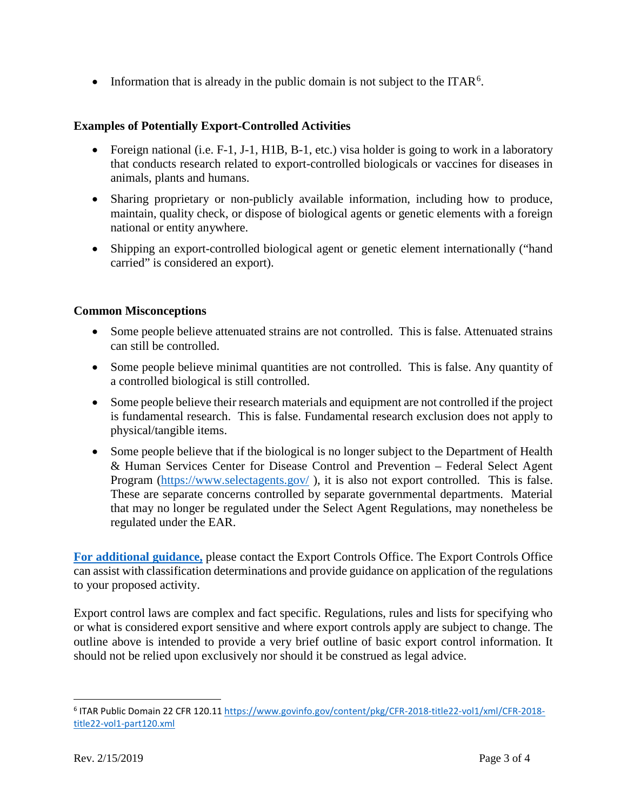• Information that is already in the public domain is not subject to the ITAR<sup>[6](#page-2-0)</sup>.

### **Examples of Potentially Export-Controlled Activities**

- Foreign national (i.e. F-1, J-1, H1B, B-1, etc.) visa holder is going to work in a laboratory that conducts research related to export-controlled biologicals or vaccines for diseases in animals, plants and humans.
- Sharing proprietary or non-publicly available information, including how to produce, maintain, quality check, or dispose of biological agents or genetic elements with a foreign national or entity anywhere.
- Shipping an export-controlled biological agent or genetic element internationally ("hand carried" is considered an export).

### **Common Misconceptions**

- Some people believe attenuated strains are not controlled. This is false. Attenuated strains can still be controlled.
- Some people believe minimal quantities are not controlled. This is false. Any quantity of a controlled biological is still controlled.
- Some people believe their research materials and equipment are not controlled if the project is fundamental research. This is false. Fundamental research exclusion does not apply to physical/tangible items.
- Some people believe that if the biological is no longer subject to the Department of Health & Human Services Center for Disease Control and Prevention – Federal Select Agent Program [\(https://www.selectagents.gov/](https://www.selectagents.gov/) ), it is also not export controlled. This is false. These are separate concerns controlled by separate governmental departments. Material that may no longer be regulated under the Select Agent Regulations, may nonetheless be regulated under the EAR.

**[For additional guidance,](https://vpr.tamu.edu/initiate-research/export-controls)** please contact the Export Controls Office. The Export Controls Office can assist with classification determinations and provide guidance on application of the regulations to your proposed activity.

Export control laws are complex and fact specific. Regulations, rules and lists for specifying who or what is considered export sensitive and where export controls apply are subject to change. The outline above is intended to provide a very brief outline of basic export control information. It should not be relied upon exclusively nor should it be construed as legal advice.

<span id="page-2-0"></span> <sup>6</sup> ITAR Public Domain 22 CFR 120.11 [https://www.govinfo.gov/content/pkg/CFR-2018-title22-vol1/xml/CFR-2018](https://www.govinfo.gov/content/pkg/CFR-2018-title22-vol1/xml/CFR-2018-title22-vol1-part120.xml) [title22-vol1-part120.xml](https://www.govinfo.gov/content/pkg/CFR-2018-title22-vol1/xml/CFR-2018-title22-vol1-part120.xml)